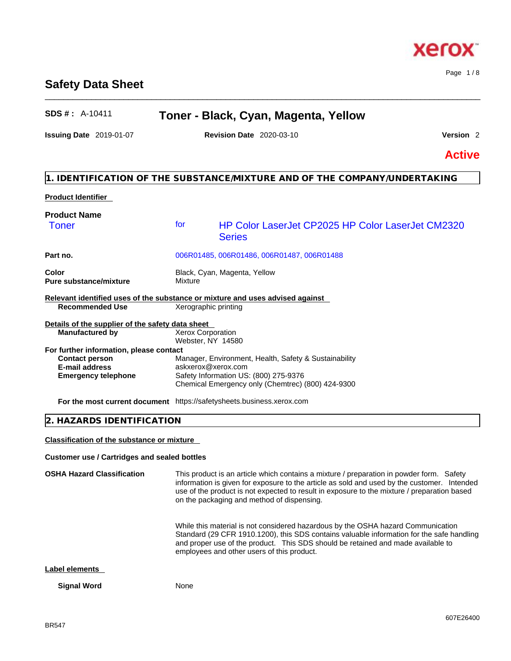# **Safety Data Sheet**

# **SDS # :** A-10411 **Toner - Black, Cyan, Magenta, Yellow**

\_\_\_\_\_\_\_\_\_\_\_\_\_\_\_\_\_\_\_\_\_\_\_\_\_\_\_\_\_\_\_\_\_\_\_\_\_\_\_\_\_\_\_\_\_\_\_\_\_\_\_\_\_\_\_\_\_\_\_\_\_\_\_\_\_\_\_\_\_\_\_\_\_\_\_\_\_\_\_\_\_\_\_\_\_\_\_\_\_\_\_\_\_\_

**Issuing Date** 2019-01-07 **Revision Date** 2020-03-10 **Version** 2

Page 1 / 8

**Active**

# **1. IDENTIFICATION OF THE SUBSTANCE/MIXTURE AND OF THE COMPANY/UNDERTAKING**

| <b>Product Identifier</b>                                                     |                                               |                                                                                            |
|-------------------------------------------------------------------------------|-----------------------------------------------|--------------------------------------------------------------------------------------------|
| <b>Product Name</b><br>Toner                                                  | for                                           | <b>HP Color LaserJet CP2025 HP Color LaserJet CM2320</b><br><b>Series</b>                  |
| Part no.                                                                      |                                               | 006R01485, 006R01486, 006R01487, 006R01488                                                 |
| Color<br><b>Pure substance/mixture</b>                                        | Mixture                                       | Black, Cyan, Magenta, Yellow                                                               |
| Relevant identified uses of the substance or mixture and uses advised against |                                               |                                                                                            |
| <b>Recommended Use</b>                                                        | Xerographic printing                          |                                                                                            |
| Details of the supplier of the safety data sheet                              |                                               |                                                                                            |
| <b>Manufactured by</b>                                                        | <b>Xerox Corporation</b><br>Webster, NY 14580 |                                                                                            |
| For further information, please contact                                       |                                               |                                                                                            |
| <b>Contact person</b>                                                         |                                               | Manager, Environment, Health, Safety & Sustainability                                      |
| <b>E-mail address</b>                                                         | askxerox@xerox.com                            |                                                                                            |
| <b>Emergency telephone</b>                                                    |                                               | Safety Information US: (800) 275-9376<br>Chemical Emergency only (Chemtrec) (800) 424-9300 |
| <b>For the most current document</b> https://safetysheets.business.xerox.com  |                                               |                                                                                            |

# **2. HAZARDS IDENTIFICATION**

**Classification of the substance or mixture**

### **Customer use / Cartridges and sealed bottles**

**OSHA Hazard Classification** This product is an article which contains a mixture / preparation in powder form. Safety information is given for exposure to the article as sold and used by the customer. Intended use of the product is not expected to result in exposure to the mixture / preparation based on the packaging and method of dispensing. While this material is not considered hazardous by the OSHA hazard Communication

Standard (29 CFR 1910.1200), this SDS contains valuable information for the safe handling and proper use of the product. This SDS should be retained and made available to employees and other users of this product.

## **Label elements**

**Signal Word** None



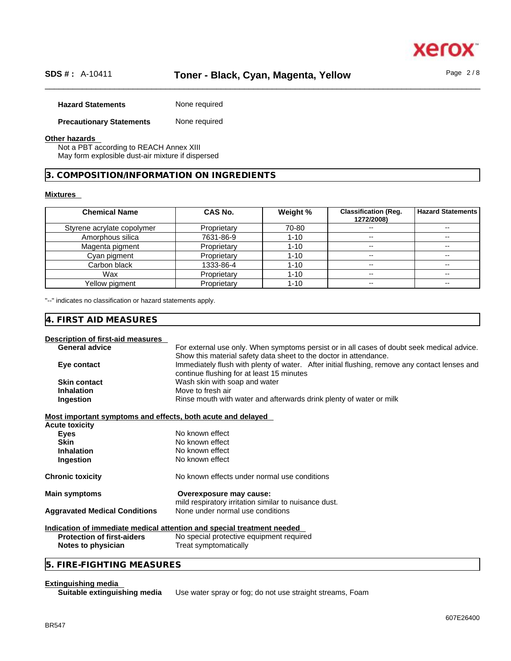# \_\_\_\_\_\_\_\_\_\_\_\_\_\_\_\_\_\_\_\_\_\_\_\_\_\_\_\_\_\_\_\_\_\_\_\_\_\_\_\_\_\_\_\_\_\_\_\_\_\_\_\_\_\_\_\_\_\_\_\_\_\_\_\_\_\_\_\_\_\_\_\_\_\_\_\_\_\_\_\_\_\_\_\_\_\_\_\_\_\_\_\_\_\_ **SDS # :** A-10411 **Toner - Black, Cyan, Magenta, Yellow** Page 2 / 8

| <b>Hazard Statements</b> | None required |
|--------------------------|---------------|
|                          |               |

# **Precautionary Statements** None required

#### **Other hazards**

Not a PBT according to REACH Annex XIII May form explosible dust-air mixture if dispersed

# **3. COMPOSITION/INFORMATION ON INGREDIENTS**

#### **Mixtures**

| <b>Chemical Name</b>       | CAS No.     | Weight % | <b>Classification (Reg.</b><br>1272/2008) | <b>Hazard Statements</b> |
|----------------------------|-------------|----------|-------------------------------------------|--------------------------|
| Styrene acrylate copolymer | Proprietary | 70-80    | --                                        |                          |
| Amorphous silica           | 7631-86-9   | $1 - 10$ | --                                        | --                       |
| Magenta pigment            | Proprietary | $1 - 10$ | --                                        | --                       |
| Cyan pigment               | Proprietary | $1 - 10$ | --                                        | $- -$                    |
| Carbon black               | 1333-86-4   | $1 - 10$ | --                                        | $- -$                    |
| Wax                        | Proprietary | 1-10     | $\overline{\phantom{a}}$                  | $\sim$ $\sim$            |
| Yellow pigment             | Proprietary | 1-10     | $\overline{\phantom{m}}$                  | $- -$                    |

"--" indicates no classification or hazard statements apply.

# **4. FIRST AID MEASURES**

# **Description of first-aid measures**

| <b>General advice</b> | For external use only. When symptoms persist or in all cases of doubt seek medical advice.    |
|-----------------------|-----------------------------------------------------------------------------------------------|
|                       | Show this material safety data sheet to the doctor in attendance.                             |
| Eye contact           | Immediately flush with plenty of water. After initial flushing, remove any contact lenses and |
|                       | continue flushing for at least 15 minutes                                                     |
| <b>Skin contact</b>   | Wash skin with soap and water                                                                 |
| <b>Inhalation</b>     | Move to fresh air                                                                             |
| Ingestion             | Rinse mouth with water and afterwards drink plenty of water or milk                           |
|                       |                                                                                               |

#### **Most important symptoms and effects, both acute and delayed**

| <b>Acute toxicity</b>                |                                                                                  |
|--------------------------------------|----------------------------------------------------------------------------------|
| Eyes                                 | No known effect                                                                  |
| <b>Skin</b>                          | No known effect                                                                  |
| <b>Inhalation</b>                    | No known effect                                                                  |
| Ingestion                            | No known effect                                                                  |
| <b>Chronic toxicity</b>              | No known effects under normal use conditions                                     |
| <b>Main symptoms</b>                 | Overexposure may cause:<br>mild respiratory irritation similar to nuisance dust. |
| <b>Aggravated Medical Conditions</b> | None under normal use conditions                                                 |
|                                      |                                                                                  |

# **Indication of immediate medical attention and special treatment needed**

**Protection of first-aiders** No special protective equipment required **Notes to physician** Treat symptomatically

# **5. FIRE-FIGHTING MEASURES**

### **Extinguishing media**

| Suitable extinguishing media |  |  |
|------------------------------|--|--|

**Suitable extinguishing media** Use water spray or fog; do not use straight streams, Foam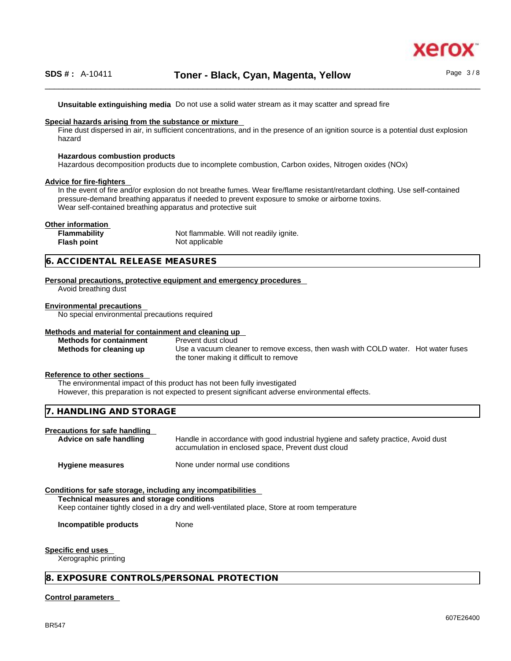

**Unsuitable extinguishing media** Do not use a solid water stream as it may scatterand spread fire

#### **Special hazards arising from the substance or mixture**

Fine dust dispersed in air, in sufficient concentrations, and in the presence of an ignition source is a potential dust explosion hazard

#### **Hazardous combustion products**

Hazardous decomposition products due to incomplete combustion, Carbon oxides, Nitrogen oxides (NOx)

#### **Advice for fire-fighters**

In the event of fire and/or explosion do not breathe fumes. Wear fire/flame resistant/retardant clothing. Use self-contained pressure-demand breathing apparatus if needed to prevent exposure to smoke or airborne toxins. Wear self-contained breathing apparatus and protective suit

#### **Other information**

**Flammability** Not flammable. Will not readily ignite. **Flash point** Not applicable

# **6. ACCIDENTAL RELEASE MEASURES**

# **Personal precautions, protective equipment and emergency procedures**

Avoid breathing dust

#### **Environmental precautions**

No special environmental precautions required

#### **Methods and material for containment and cleaning up**

**Methods for containment** Prevent dust cloud

**Methods for cleaning up** Use a vacuum cleaner to remove excess, then wash with COLD water. Hot water fuses the toner making it difficult to remove

#### **Reference to other sections**

The environmental impact of this product has not been fully investigated

However, this preparation is not expected to present significant adverse environmental effects.

#### **7. HANDLING AND STORAGE**

# **Precautions for safe handling**

Handle in accordance with good industrial hygiene and safety practice, Avoid dust accumulation in enclosed space, Prevent dust cloud

**Hygiene measures** None under normal use conditions

#### **Conditions for safe storage, including any incompatibilities**

**Technical measures and storage conditions**

Keep container tightly closed in a dry and well-ventilated place, Store at room temperature

**Incompatible products** None

#### **Specific end uses**

Xerographic printing

#### **8. EXPOSURE CONTROLS/PERSONAL PROTECTION**

#### **Control parameters**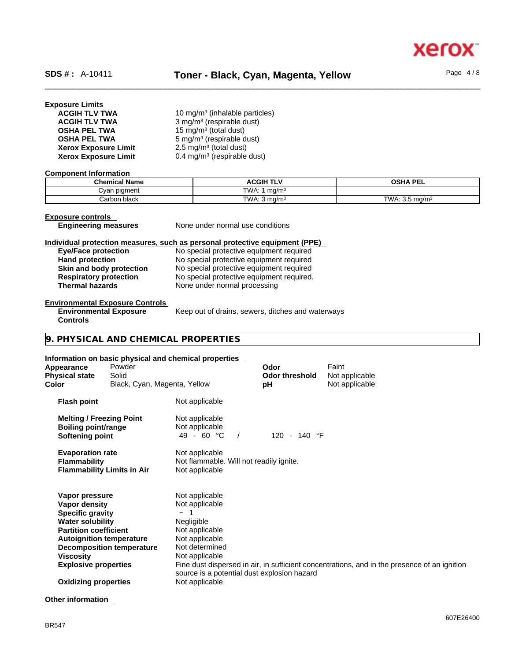

# **Exposure Limits**

| <b>ACGIH TLV TWA</b>        | 10 mg/m <sup>3</sup> (inhalable particles) |
|-----------------------------|--------------------------------------------|
| <b>ACGIH TLV TWA</b>        | 3 mg/m <sup>3</sup> (respirable dust)      |
| <b>OSHA PEL TWA</b>         | 15 mg/m <sup>3</sup> (total dust)          |
| <b>OSHA PEL TWA</b>         | 5 mg/m <sup>3</sup> (respirable dust)      |
| <b>Xerox Exposure Limit</b> | $2.5 \text{ mg/m}^3$ (total dust)          |
| <b>Xerox Exposure Limit</b> | 0.4 mg/m <sup>3</sup> (respirable dust)    |

#### **Component Information**

| <b>Chemical Name</b> | <b>ACGIH TLV</b>        | OSHA PEI<br>.                   |
|----------------------|-------------------------|---------------------------------|
| oiament ו<br>ل∨an    | TWA.<br>ma/mª           |                                 |
| Carbon black         | TWA: $3 \text{ ma/m}^3$ | TWA:<br>. 3.5 ma/m <sup>3</sup> |

# **Exposure controls<br>
Engineering measures**

**None under normal use conditions** 

# **Individual protection measures, such as personal protective equipment (PPE)**

| <b>Eye/Face protection</b>    |  |
|-------------------------------|--|
| <b>Hand protection</b>        |  |
| Skin and body protection      |  |
| <b>Respiratory protection</b> |  |
| <b>Thermal hazards</b>        |  |

**Eye/Face protection** No special protective equipment required No special protective equipment required **Skin and body protection** No special protective equipment required **Respiratory protection** No special protective equipment required. **Thermal hazards** None under normal processing

# **Environmental Exposure Controls**

**Environmental Exposure Controls**  Keep out of drains, sewers, ditches and waterways

# **9. PHYSICAL AND CHEMICAL PROPERTIES**

### **Information on basic physical and chemical properties**

| Appearance<br><b>Physical state</b><br>Color                                                                                                                      | Powder<br>Solid<br>Black, Cyan, Magenta, Yellow                     |                                                                                                                                                                                 | Odor<br><b>Odor threshold</b><br>рH | Faint<br>Not applicable<br>Not applicable                                                    |
|-------------------------------------------------------------------------------------------------------------------------------------------------------------------|---------------------------------------------------------------------|---------------------------------------------------------------------------------------------------------------------------------------------------------------------------------|-------------------------------------|----------------------------------------------------------------------------------------------|
| <b>Flash point</b>                                                                                                                                                |                                                                     | Not applicable                                                                                                                                                                  |                                     |                                                                                              |
| <b>Melting / Freezing Point</b><br><b>Boiling point/range</b><br>Softening point                                                                                  |                                                                     | Not applicable<br>Not applicable<br>49 - 60 °C                                                                                                                                  | 120 - 140 °F                        |                                                                                              |
| <b>Evaporation rate</b><br><b>Flammability</b>                                                                                                                    | <b>Flammability Limits in Air</b>                                   | Not applicable<br>Not flammable. Will not readily ignite.<br>Not applicable                                                                                                     |                                     |                                                                                              |
| Vapor pressure<br>Vapor density<br><b>Specific gravity</b><br><b>Water solubility</b><br><b>Partition coefficient</b><br>Viscosity<br><b>Explosive properties</b> | <b>Autoignition temperature</b><br><b>Decomposition temperature</b> | Not applicable<br>Not applicable<br>$\sim$<br>Negligible<br>Not applicable<br>Not applicable<br>Not determined<br>Not applicable<br>source is a potential dust explosion hazard |                                     | Fine dust dispersed in air, in sufficient concentrations, and in the presence of an ignition |
| <b>Oxidizing properties</b>                                                                                                                                       |                                                                     | Not applicable                                                                                                                                                                  |                                     |                                                                                              |
|                                                                                                                                                                   |                                                                     |                                                                                                                                                                                 |                                     |                                                                                              |

### **Other information**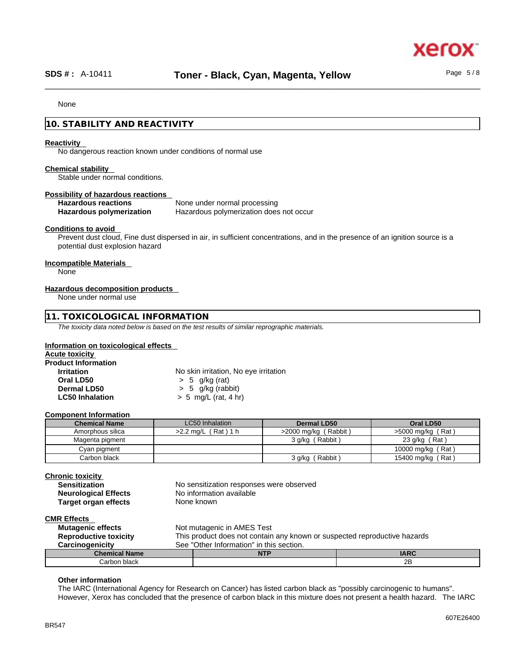#### None

# **10. STABILITY AND REACTIVITY**

#### **Reactivity**

No dangerous reaction known under conditions of normal use

#### **Chemical stability**

Stable under normal conditions.

**Possibility of hazardous reactions Hazardous reactions**<br> **Hazardous polymerization Hazardous polymerization does Hazardous polymerization does not occur** 

#### **Conditions to avoid**

Prevent dust cloud, Fine dust dispersed in air, in sufficient concentrations, and in the presence of an ignition source is a potential dust explosion hazard

# **Incompatible Materials**

None

#### **Hazardous decomposition products**

None under normal use

# **11. TOXICOLOGICAL INFORMATION**

*The toxicity data noted below is based on the test results of similar reprographic materials.* 

#### **Information on toxicological effects**

| Acute toxicity             |                                       |
|----------------------------|---------------------------------------|
| <b>Product Information</b> |                                       |
| <b>Irritation</b>          | No skin irritation, No eye irritation |
| Oral LD50                  | $> 5$ g/kg (rat)                      |
| Dermal LD50                | $> 5$ g/kg (rabbit)                   |
| <b>LC50 Inhalation</b>     | $> 5$ mg/L (rat, 4 hr)                |

#### **Component Information**

| <b>Chemical Name</b> | LC50 Inhalation        | Dermal LD50             | Oral LD50           |
|----------------------|------------------------|-------------------------|---------------------|
| Amorphous silica     | Rat 1 h<br>$>2.2$ ma/L | (Rabbit)<br>>2000 mg/kg | $>5000$ mg/kg (Rat) |
| Magenta pigment      |                        | (Rabbit)<br>3 g/kg(     | 'Rat )<br>23 g/kg   |
| Cyan pigment         |                        |                         | 10000 mg/kg (Rat)   |
| Carbon black         |                        | (Rabbit)<br>3 g/kg (    | 15400 mg/kg (Rat)   |

#### **Chronic toxicity**

| No sensitization responses were observed |
|------------------------------------------|
| No information available                 |
| None known                               |
|                                          |

# **CMR Effects**

| <b>Mutagenic effects</b>     | Not mutagenic in AMES Test                                                |             |
|------------------------------|---------------------------------------------------------------------------|-------------|
| <b>Reproductive toxicity</b> | This product does not contain any known or suspected reproductive hazards |             |
| <b>Carcinogenicity</b>       | See "Other Information" in this section.                                  |             |
| <b>Chemical Name</b>         | <b>NTP</b>                                                                | <b>IARC</b> |
| Carbon black                 |                                                                           | 2B          |

#### **Other information**

The IARC (International Agency for Research on Cancer) has listed carbon black as "possibly carcinogenic to humans". However, Xerox has concluded that the presence of carbon black in this mixture does not present a health hazard. The IARC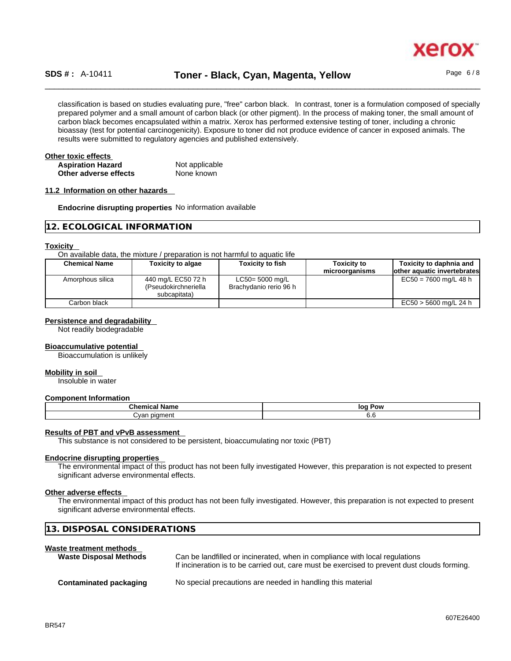

# \_\_\_\_\_\_\_\_\_\_\_\_\_\_\_\_\_\_\_\_\_\_\_\_\_\_\_\_\_\_\_\_\_\_\_\_\_\_\_\_\_\_\_\_\_\_\_\_\_\_\_\_\_\_\_\_\_\_\_\_\_\_\_\_\_\_\_\_\_\_\_\_\_\_\_\_\_\_\_\_\_\_\_\_\_\_\_\_\_\_\_\_\_\_ **SDS # :** A-10411 **Toner - Black, Cyan, Magenta, Yellow** Page 6 / 8

classification is based on studies evaluating pure, "free" carbon black. In contrast, toner is a formulation composed of specially prepared polymer and a small amount of carbon black (or other pigment). In the process of making toner, the small amount of carbon black becomes encapsulated within a matrix. Xerox has performed extensive testing of toner, including a chronic bioassay (test for potential carcinogenicity). Exposure to toner did not produce evidence of cancer in exposed animals. The results were submitted to regulatory agencies and published extensively.

| Other toxic effects      |                |  |
|--------------------------|----------------|--|
| <b>Aspiration Hazard</b> | Not applicable |  |
| Other adverse effects    | None known     |  |

#### **11.2 Information on other hazards**

**Endocrine disrupting properties** No information available

|  | 12. ECOLOGICAL INFORMATION |  |
|--|----------------------------|--|
|--|----------------------------|--|

#### **Toxicity**

On available data, the mixture / preparation is not harmful to aquatic life

| <b>Chemical Name</b> | <b>Toxicity to algae</b>                                   | <b>Toxicity to fish</b>                   | <b>Toxicity to</b> | Toxicity to daphnia and      |
|----------------------|------------------------------------------------------------|-------------------------------------------|--------------------|------------------------------|
|                      |                                                            |                                           | microorganisms     | lother aquatic invertebrates |
| Amorphous silica     | 440 mg/L EC50 72 h<br>(Pseudokirchneriella<br>subcapitata) | LC50= 5000 mg/L<br>Brachydanio rerio 96 h |                    | $EC50 = 7600$ mg/L 48 h      |
| Carbon black         |                                                            |                                           |                    | $EC50 > 5600$ mg/L 24 h      |

#### **Persistence and degradability**

Not readily biodegradable

#### **Bioaccumulative potential**

Bioaccumulation is unlikely

#### **Mobility in soil**

Insoluble in water

#### **Component Information**

| $R_{\rm max}$<br>name<br>анноа<br>una | Pow<br>loq |
|---------------------------------------|------------|
| ⊶ ∩n^<br>λ∨ar<br>$\sim$<br>           | v.u        |

#### **Results of PBT and vPvB assessment**

This substance is not considered to be persistent, bioaccumulating nor toxic (PBT)

#### **Endocrine disrupting properties**

The environmental impact of this product has not been fully investigated However, this preparation is not expected to present significant adverse environmental effects.

#### **Other adverse effects**

The environmental impact of this product has not been fully investigated. However, this preparation is not expected to present significant adverse environmental effects.

|  |  | 13. DISPOSAL CONSIDERATIONS |  |
|--|--|-----------------------------|--|
|--|--|-----------------------------|--|

#### **Waste treatment methods**

| <b>Waste Disposal Methods</b> | Can be landfilled or incinerated, when in compliance with local regulations<br>If incineration is to be carried out, care must be exercised to prevent dust clouds forming. |
|-------------------------------|-----------------------------------------------------------------------------------------------------------------------------------------------------------------------------|
| Contaminated packaging        | No special precautions are needed in handling this material                                                                                                                 |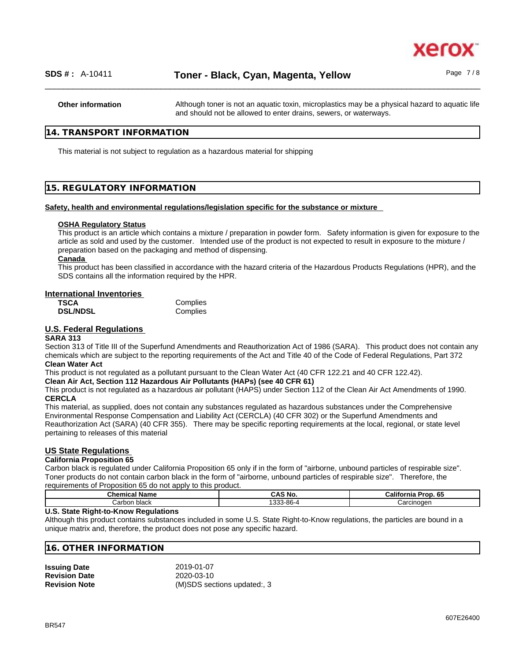

**Other information** Although toner is not an aquatic toxin, microplastics may be a physical hazard to aquatic life and should not be allowed to enter drains, sewers, or waterways.

# **14. TRANSPORT INFORMATION**

This material is not subject to regulation as a hazardous material for shipping

# **15. REGULATORY INFORMATION**

#### **Safety, health and environmental regulations/legislation specific for the substance or mixture**

#### **OSHA Regulatory Status**

This product is an article which contains a mixture / preparation in powder form. Safety information is given for exposure to the article as sold and used by the customer. Intended use of the product is not expected to result in exposure to the mixture / preparation based on the packaging and method of dispensing.

#### **Canada**

This product has been classified in accordance with the hazard criteria of the Hazardous Products Regulations (HPR), and the SDS contains all the information required by the HPR.

# **International Inventories**

| TSCA            | Complies |
|-----------------|----------|
| <b>DSL/NDSL</b> | Complies |

# **U.S. Federal Regulations**

#### **SARA 313**

Section 313 of Title III of the Superfund Amendments and Reauthorization Act of 1986 (SARA). This product does not contain any chemicals which are subject to the reporting requirements of the Act and Title 40 of the Code of Federal Regulations, Part 372 **Clean Water Act**

This product is not regulated as a pollutant pursuant to the Clean Water Act (40 CFR 122.21 and 40 CFR 122.42).

**Clean Air Act,Section 112 Hazardous Air Pollutants (HAPs) (see 40 CFR 61)**

This product is not regulated as a hazardous air pollutant (HAPS) under Section 112 of the Clean Air Act Amendments of 1990. **CERCLA**

This material, as supplied, does not contain any substances regulated as hazardous substances under the Comprehensive Environmental Response Compensation and Liability Act (CERCLA) (40 CFR 302) or the Superfund Amendments and Reauthorization Act (SARA) (40 CFR 355). There may be specific reporting requirements at the local, regional, or state level pertaining to releases of this material

#### **US State Regulations**

#### **California Proposition 65**

Carbon black is regulated under California Proposition 65 only if in the form of "airborne, unbound particles of respirable size". Toner products do not contain carbon black in the form of "airborne, unbound particles of respirable size". Therefore, the requirements of Proposition 65 do not apply to this product.

| Chemic<br>Name<br>unical : | ີ AS No.              | 6F<br>Californi <sup>-</sup><br>Prop.<br>ັບປ |
|----------------------------|-----------------------|----------------------------------------------|
| black<br>Carbor            | 1222.00<br>ა-იი-<br>ີ | Carcinoger                                   |

#### **U.S. State Right-to-Know Regulations**

Although this product contains substances included in some U.S. State Right-to-Know regulations, the particles are bound in a unique matrix and, therefore, the product does not pose any specific hazard.

## **16. OTHER INFORMATION**

| <b>Issuing Date</b>  | 2019-01-07                  |
|----------------------|-----------------------------|
| <b>Revision Date</b> | 2020-03-10                  |
| <b>Revision Note</b> | (M)SDS sections updated:, 3 |